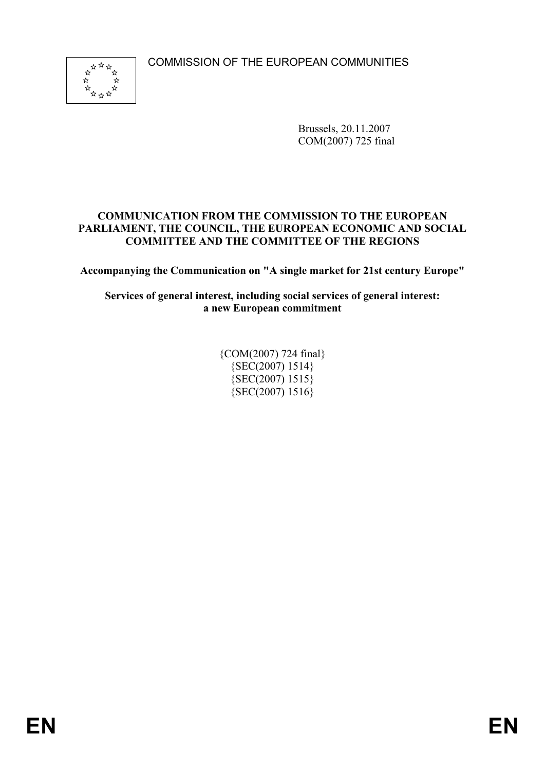COMMISSION OF THE EUROPEAN COMMUNITIES



Brussels, 20.11.2007 COM(2007) 725 final

#### **COMMUNICATION FROM THE COMMISSION TO THE EUROPEAN PARLIAMENT, THE COUNCIL, THE EUROPEAN ECONOMIC AND SOCIAL COMMITTEE AND THE COMMITTEE OF THE REGIONS**

**Accompanying the Communication on "A single market for 21st century Europe"** 

**Services of general interest, including social services of general interest: a new European commitment** 

> {COM(2007) 724 final} {SEC(2007) 1514} {SEC(2007) 1515} {SEC(2007) 1516}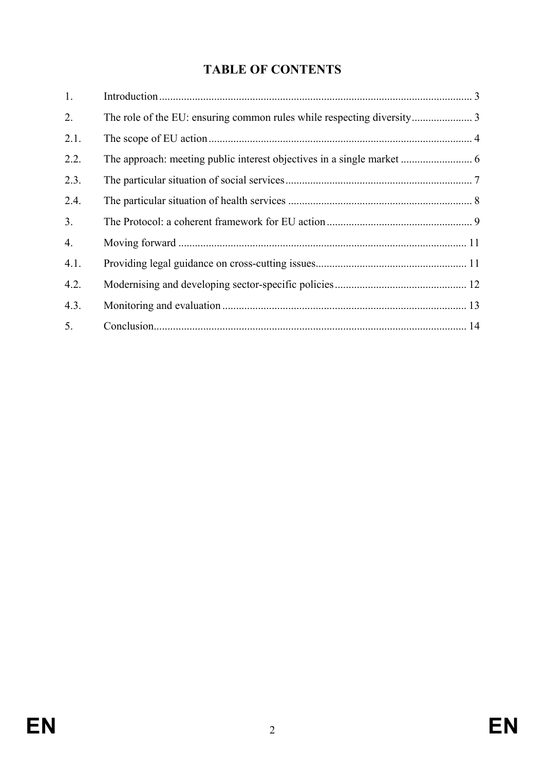# **TABLE OF CONTENTS**

| 1.             |  |
|----------------|--|
| 2.             |  |
| 2.1.           |  |
| 2.2.           |  |
| 2.3.           |  |
| 2.4.           |  |
| 3 <sub>1</sub> |  |
| 4.             |  |
| 4.1.           |  |
| 4.2.           |  |
| 4.3.           |  |
| 5.             |  |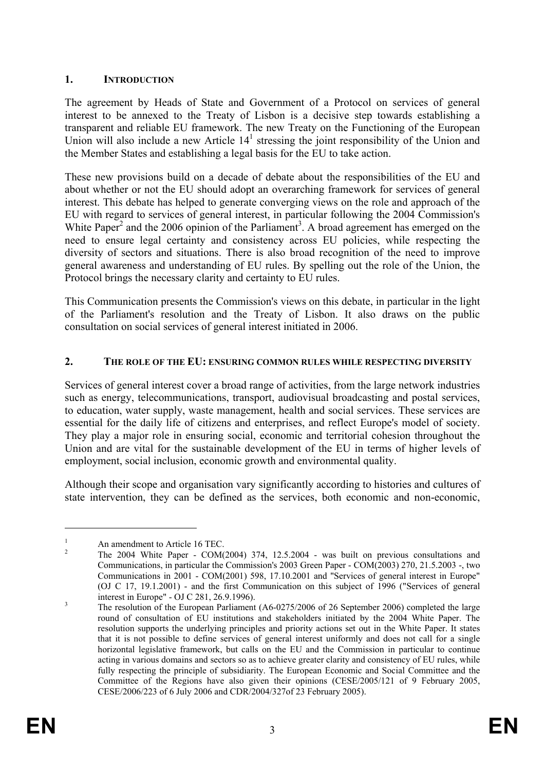### **1. INTRODUCTION**

The agreement by Heads of State and Government of a Protocol on services of general interest to be annexed to the Treaty of Lisbon is a decisive step towards establishing a transparent and reliable EU framework. The new Treaty on the Functioning of the European Union will also include a new Article  $14<sup>1</sup>$  stressing the joint responsibility of the Union and the Member States and establishing a legal basis for the EU to take action.

These new provisions build on a decade of debate about the responsibilities of the EU and about whether or not the EU should adopt an overarching framework for services of general interest. This debate has helped to generate converging views on the role and approach of the EU with regard to services of general interest, in particular following the 2004 Commission's White Paper<sup>2</sup> and the 2006 opinion of the Parliament<sup>3</sup>. A broad agreement has emerged on the need to ensure legal certainty and consistency across EU policies, while respecting the diversity of sectors and situations. There is also broad recognition of the need to improve general awareness and understanding of EU rules. By spelling out the role of the Union, the Protocol brings the necessary clarity and certainty to EU rules.

This Communication presents the Commission's views on this debate, in particular in the light of the Parliament's resolution and the Treaty of Lisbon. It also draws on the public consultation on social services of general interest initiated in 2006.

### **2. THE ROLE OF THE EU: ENSURING COMMON RULES WHILE RESPECTING DIVERSITY**

Services of general interest cover a broad range of activities, from the large network industries such as energy, telecommunications, transport, audiovisual broadcasting and postal services, to education, water supply, waste management, health and social services. These services are essential for the daily life of citizens and enterprises, and reflect Europe's model of society. They play a major role in ensuring social, economic and territorial cohesion throughout the Union and are vital for the sustainable development of the EU in terms of higher levels of employment, social inclusion, economic growth and environmental quality.

Although their scope and organisation vary significantly according to histories and cultures of state intervention, they can be defined as the services, both economic and non-economic,

<sup>1</sup> An amendment to Article 16 TEC.  $\overline{2}$ 

The 2004 White Paper - COM(2004) 374, 12.5.2004 - was built on previous consultations and Communications, in particular the Commission's 2003 Green Paper - COM(2003) 270, 21.5.2003 -, two Communications in 2001 - COM(2001) 598, 17.10.2001 and "Services of general interest in Europe" (OJ C 17, 19.1.2001) - and the first Communication on this subject of 1996 ("Services of general interest in Europe" - OJ C 281, 26.9.1996).

The resolution of the European Parliament (A6-0275/2006 of 26 September 2006) completed the large round of consultation of EU institutions and stakeholders initiated by the 2004 White Paper. The resolution supports the underlying principles and priority actions set out in the White Paper. It states that it is not possible to define services of general interest uniformly and does not call for a single horizontal legislative framework, but calls on the EU and the Commission in particular to continue acting in various domains and sectors so as to achieve greater clarity and consistency of EU rules, while fully respecting the principle of subsidiarity. The European Economic and Social Committee and the Committee of the Regions have also given their opinions (CESE/2005/121 of 9 February 2005, CESE/2006/223 of 6 July 2006 and CDR/2004/327of 23 February 2005).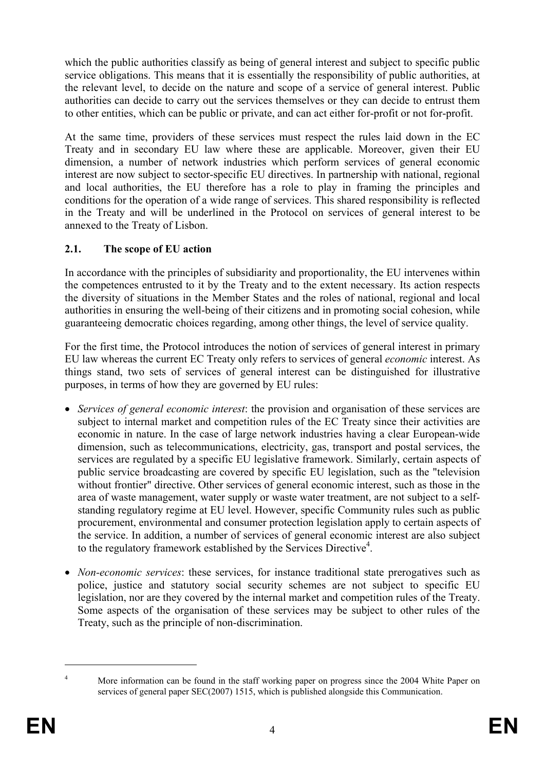which the public authorities classify as being of general interest and subject to specific public service obligations. This means that it is essentially the responsibility of public authorities, at the relevant level, to decide on the nature and scope of a service of general interest. Public authorities can decide to carry out the services themselves or they can decide to entrust them to other entities, which can be public or private, and can act either for-profit or not for-profit.

At the same time, providers of these services must respect the rules laid down in the EC Treaty and in secondary EU law where these are applicable. Moreover, given their EU dimension, a number of network industries which perform services of general economic interest are now subject to sector-specific EU directives. In partnership with national, regional and local authorities, the EU therefore has a role to play in framing the principles and conditions for the operation of a wide range of services. This shared responsibility is reflected in the Treaty and will be underlined in the Protocol on services of general interest to be annexed to the Treaty of Lisbon.

### **2.1. The scope of EU action**

In accordance with the principles of subsidiarity and proportionality, the EU intervenes within the competences entrusted to it by the Treaty and to the extent necessary. Its action respects the diversity of situations in the Member States and the roles of national, regional and local authorities in ensuring the well-being of their citizens and in promoting social cohesion, while guaranteeing democratic choices regarding, among other things, the level of service quality.

For the first time, the Protocol introduces the notion of services of general interest in primary EU law whereas the current EC Treaty only refers to services of general *economic* interest. As things stand, two sets of services of general interest can be distinguished for illustrative purposes, in terms of how they are governed by EU rules:

- *Services of general economic interest*: the provision and organisation of these services are subject to internal market and competition rules of the EC Treaty since their activities are economic in nature. In the case of large network industries having a clear European-wide dimension, such as telecommunications, electricity, gas, transport and postal services, the services are regulated by a specific EU legislative framework. Similarly, certain aspects of public service broadcasting are covered by specific EU legislation, such as the "television without frontier" directive. Other services of general economic interest, such as those in the area of waste management, water supply or waste water treatment, are not subject to a selfstanding regulatory regime at EU level. However, specific Community rules such as public procurement, environmental and consumer protection legislation apply to certain aspects of the service. In addition, a number of services of general economic interest are also subject to the regulatory framework established by the Services Directive<sup>4</sup>.
- *Non-economic services*: these services, for instance traditional state prerogatives such as police, justice and statutory social security schemes are not subject to specific EU legislation, nor are they covered by the internal market and competition rules of the Treaty. Some aspects of the organisation of these services may be subject to other rules of the Treaty, such as the principle of non-discrimination.

<u>.</u>

<sup>4</sup> More information can be found in the staff working paper on progress since the 2004 White Paper on services of general paper SEC(2007) 1515, which is published alongside this Communication.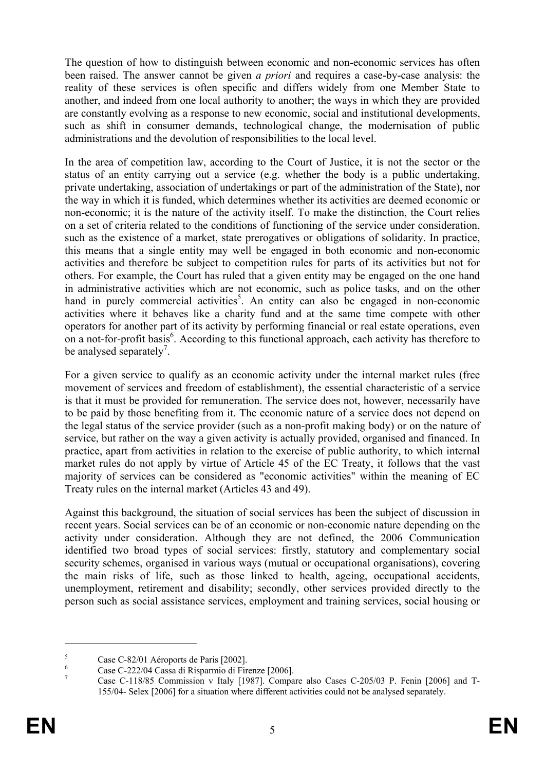The question of how to distinguish between economic and non-economic services has often been raised. The answer cannot be given *a priori* and requires a case-by-case analysis: the reality of these services is often specific and differs widely from one Member State to another, and indeed from one local authority to another; the ways in which they are provided are constantly evolving as a response to new economic, social and institutional developments, such as shift in consumer demands, technological change, the modernisation of public administrations and the devolution of responsibilities to the local level.

In the area of competition law, according to the Court of Justice, it is not the sector or the status of an entity carrying out a service (e.g. whether the body is a public undertaking, private undertaking, association of undertakings or part of the administration of the State), nor the way in which it is funded, which determines whether its activities are deemed economic or non-economic; it is the nature of the activity itself. To make the distinction, the Court relies on a set of criteria related to the conditions of functioning of the service under consideration, such as the existence of a market, state prerogatives or obligations of solidarity. In practice, this means that a single entity may well be engaged in both economic and non-economic activities and therefore be subject to competition rules for parts of its activities but not for others. For example, the Court has ruled that a given entity may be engaged on the one hand in administrative activities which are not economic, such as police tasks, and on the other hand in purely commercial activities<sup>5</sup>. An entity can also be engaged in non-economic activities where it behaves like a charity fund and at the same time compete with other operators for another part of its activity by performing financial or real estate operations, even on a not-for-profit basis<sup>6</sup>. According to this functional approach, each activity has therefore to be analysed separately<sup>7</sup>.

For a given service to qualify as an economic activity under the internal market rules (free movement of services and freedom of establishment), the essential characteristic of a service is that it must be provided for remuneration. The service does not, however, necessarily have to be paid by those benefiting from it. The economic nature of a service does not depend on the legal status of the service provider (such as a non-profit making body) or on the nature of service, but rather on the way a given activity is actually provided, organised and financed. In practice, apart from activities in relation to the exercise of public authority, to which internal market rules do not apply by virtue of Article 45 of the EC Treaty, it follows that the vast majority of services can be considered as "economic activities" within the meaning of EC Treaty rules on the internal market (Articles 43 and 49).

Against this background, the situation of social services has been the subject of discussion in recent years. Social services can be of an economic or non-economic nature depending on the activity under consideration. Although they are not defined, the 2006 Communication identified two broad types of social services: firstly, statutory and complementary social security schemes, organised in various ways (mutual or occupational organisations), covering the main risks of life, such as those linked to health, ageing, occupational accidents, unemployment, retirement and disability; secondly, other services provided directly to the person such as social assistance services, employment and training services, social housing or

<sup>5</sup> Case C-82/01 Aéroports de Paris [2002].

<sup>6</sup> Case C-222/04 Cassa di Risparmio di Firenze [2006].

<sup>7</sup> Case C-118/85 Commission v Italy [1987]. Compare also Cases C-205/03 P. Fenin [2006] and T-155/04- Selex [2006] for a situation where different activities could not be analysed separately.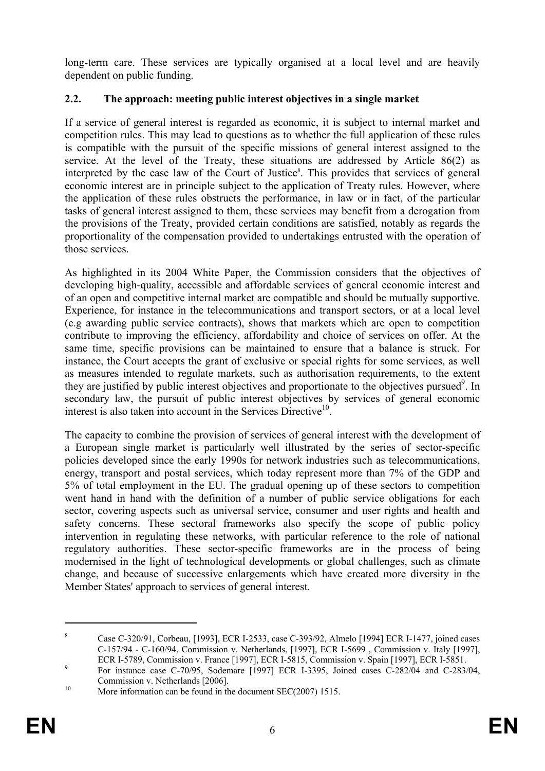long-term care. These services are typically organised at a local level and are heavily dependent on public funding.

# **2.2. The approach: meeting public interest objectives in a single market**

If a service of general interest is regarded as economic, it is subject to internal market and competition rules. This may lead to questions as to whether the full application of these rules is compatible with the pursuit of the specific missions of general interest assigned to the service. At the level of the Treaty, these situations are addressed by Article 86(2) as interpreted by the case law of the Court of Justice<sup>8</sup>. This provides that services of general economic interest are in principle subject to the application of Treaty rules. However, where the application of these rules obstructs the performance, in law or in fact, of the particular tasks of general interest assigned to them, these services may benefit from a derogation from the provisions of the Treaty, provided certain conditions are satisfied, notably as regards the proportionality of the compensation provided to undertakings entrusted with the operation of those services.

As highlighted in its 2004 White Paper, the Commission considers that the objectives of developing high-quality, accessible and affordable services of general economic interest and of an open and competitive internal market are compatible and should be mutually supportive. Experience, for instance in the telecommunications and transport sectors, or at a local level (e.g awarding public service contracts), shows that markets which are open to competition contribute to improving the efficiency, affordability and choice of services on offer. At the same time, specific provisions can be maintained to ensure that a balance is struck. For instance, the Court accepts the grant of exclusive or special rights for some services, as well as measures intended to regulate markets, such as authorisation requirements, to the extent they are justified by public interest objectives and proportionate to the objectives pursued<sup>9</sup>. In secondary law, the pursuit of public interest objectives by services of general economic interest is also taken into account in the Services Directive $10$ .

The capacity to combine the provision of services of general interest with the development of a European single market is particularly well illustrated by the series of sector-specific policies developed since the early 1990s for network industries such as telecommunications, energy, transport and postal services, which today represent more than 7% of the GDP and 5% of total employment in the EU. The gradual opening up of these sectors to competition went hand in hand with the definition of a number of public service obligations for each sector, covering aspects such as universal service, consumer and user rights and health and safety concerns. These sectoral frameworks also specify the scope of public policy intervention in regulating these networks, with particular reference to the role of national regulatory authorities. These sector-specific frameworks are in the process of being modernised in the light of technological developments or global challenges, such as climate change, and because of successive enlargements which have created more diversity in the Member States' approach to services of general interest*.* 

<sup>8</sup> Case C-320/91, Corbeau, [1993], ECR I-2533, case C-393/92, Almelo [1994] ECR I-1477, joined cases C-157/94 - C-160/94, Commission v. Netherlands, [1997], ECR I-5699 , Commission v. Italy [1997], ECR I-5789, Commission v. France [1997], ECR I-5815, Commission v. Spain [1997], ECR I-5851.

For instance case C-70/95, Sodemare [1997] ECR I-3395, Joined cases C-282/04 and C-283/04, Commission v. Netherlands [2006].<br>
More information can be found in the document SEC(2007) 1515.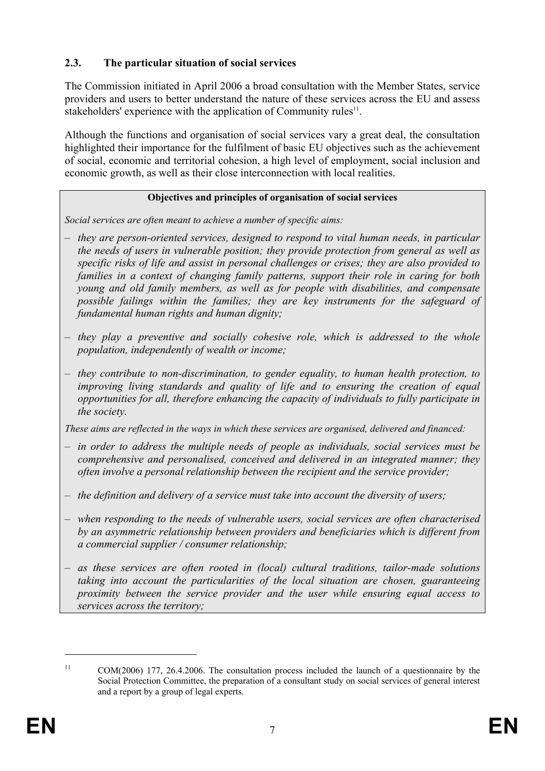# **2.3. The particular situation of social services**

The Commission initiated in April 2006 a broad consultation with the Member States, service providers and users to better understand the nature of these services across the EU and assess stakeholders' experience with the application of Community rules<sup>11</sup>.

Although the functions and organisation of social services vary a great deal, the consultation highlighted their importance for the fulfilment of basic EU objectives such as the achievement of social, economic and territorial cohesion, a high level of employment, social inclusion and economic growth, as well as their close interconnection with local realities.

### **Objectives and principles of organisation of social services**

*Social services are often meant to achieve a number of specific aims:* 

- *they are person-oriented services, designed to respond to vital human needs, in particular the needs of users in vulnerable position; they provide protection from general as well as specific risks of life and assist in personal challenges or crises; they are also provided to families in a context of changing family patterns, support their role in caring for both young and old family members, as well as for people with disabilities, and compensate possible failings within the families; they are key instruments for the safeguard of fundamental human rights and human dignity;*
- *they play a preventive and socially cohesive role, which is addressed to the whole population, independently of wealth or income;*
- *they contribute to non-discrimination, to gender equality, to human health protection, to improving living standards and quality of life and to ensuring the creation of equal opportunities for all, therefore enhancing the capacity of individuals to fully participate in the society.*

*These aims are reflected in the ways in which these services are organised, delivered and financed:* 

- *in order to address the multiple needs of people as individuals, social services must be comprehensive and personalised, conceived and delivered in an integrated manner; they often involve a personal relationship between the recipient and the service provider;*
- *the definition and delivery of a service must take into account the diversity of users;*
- *when responding to the needs of vulnerable users, social services are often characterised by an asymmetric relationship between providers and beneficiaries which is different from a commercial supplier / consumer relationship;*
- *as these services are often rooted in (local) cultural traditions, tailor-made solutions taking into account the particularities of the local situation are chosen, guaranteeing proximity between the service provider and the user while ensuring equal access to services across the territory;*

<sup>&</sup>lt;sup>11</sup> COM(2006) 177, 26.4.2006. The consultation process included the launch of a questionnaire by the Social Protection Committee, the preparation of a consultant study on social services of general interest and a report by a group of legal experts.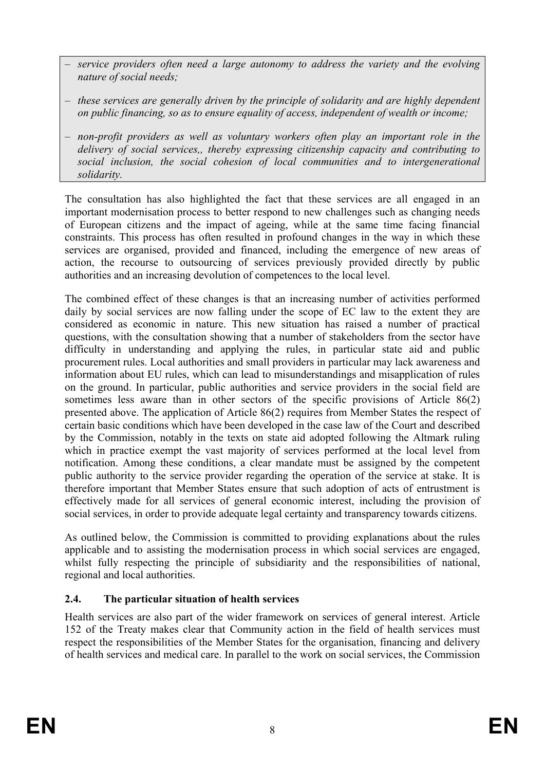- *service providers often need a large autonomy to address the variety and the evolving nature of social needs;*
- *these services are generally driven by the principle of solidarity and are highly dependent on public financing, so as to ensure equality of access, independent of wealth or income;*
- *non-profit providers as well as voluntary workers often play an important role in the delivery of social services,, thereby expressing citizenship capacity and contributing to social inclusion, the social cohesion of local communities and to intergenerational solidarity.*

The consultation has also highlighted the fact that these services are all engaged in an important modernisation process to better respond to new challenges such as changing needs of European citizens and the impact of ageing, while at the same time facing financial constraints. This process has often resulted in profound changes in the way in which these services are organised, provided and financed, including the emergence of new areas of action, the recourse to outsourcing of services previously provided directly by public authorities and an increasing devolution of competences to the local level.

The combined effect of these changes is that an increasing number of activities performed daily by social services are now falling under the scope of EC law to the extent they are considered as economic in nature. This new situation has raised a number of practical questions, with the consultation showing that a number of stakeholders from the sector have difficulty in understanding and applying the rules, in particular state aid and public procurement rules. Local authorities and small providers in particular may lack awareness and information about EU rules, which can lead to misunderstandings and misapplication of rules on the ground. In particular, public authorities and service providers in the social field are sometimes less aware than in other sectors of the specific provisions of Article 86(2) presented above. The application of Article 86(2) requires from Member States the respect of certain basic conditions which have been developed in the case law of the Court and described by the Commission, notably in the texts on state aid adopted following the Altmark ruling which in practice exempt the vast majority of services performed at the local level from notification. Among these conditions, a clear mandate must be assigned by the competent public authority to the service provider regarding the operation of the service at stake. It is therefore important that Member States ensure that such adoption of acts of entrustment is effectively made for all services of general economic interest, including the provision of social services, in order to provide adequate legal certainty and transparency towards citizens.

As outlined below, the Commission is committed to providing explanations about the rules applicable and to assisting the modernisation process in which social services are engaged, whilst fully respecting the principle of subsidiarity and the responsibilities of national, regional and local authorities.

# **2.4. The particular situation of health services**

Health services are also part of the wider framework on services of general interest. Article 152 of the Treaty makes clear that Community action in the field of health services must respect the responsibilities of the Member States for the organisation, financing and delivery of health services and medical care. In parallel to the work on social services, the Commission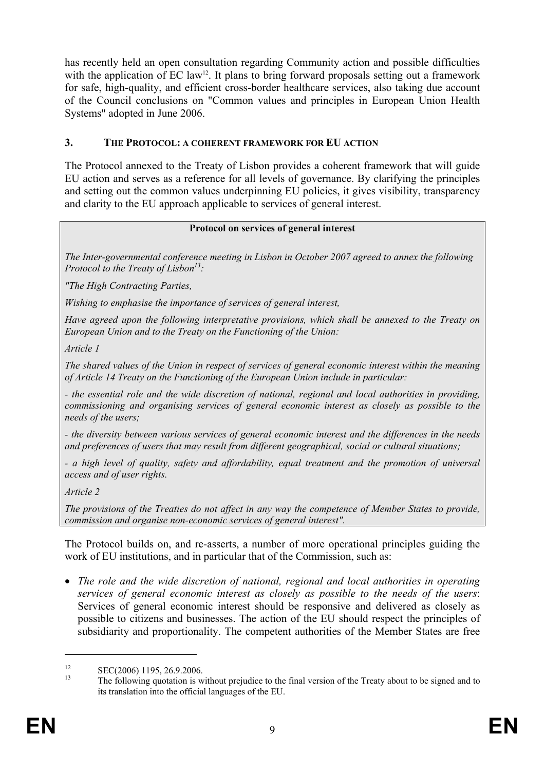has recently held an open consultation regarding Community action and possible difficulties with the application of  $EC$  law<sup>12</sup>. It plans to bring forward proposals setting out a framework for safe, high-quality, and efficient cross-border healthcare services, also taking due account of the Council conclusions on "Common values and principles in European Union Health Systems" adopted in June 2006.

### **3. THE PROTOCOL: A COHERENT FRAMEWORK FOR EU ACTION**

The Protocol annexed to the Treaty of Lisbon provides a coherent framework that will guide EU action and serves as a reference for all levels of governance. By clarifying the principles and setting out the common values underpinning EU policies, it gives visibility, transparency and clarity to the EU approach applicable to services of general interest.

#### **Protocol on services of general interest**

*The Inter-governmental conference meeting in Lisbon in October 2007 agreed to annex the following Protocol to the Treaty of Lisbon*<sup>13</sup>:

*"The High Contracting Parties,* 

*Wishing to emphasise the importance of services of general interest,* 

*Have agreed upon the following interpretative provisions, which shall be annexed to the Treaty on European Union and to the Treaty on the Functioning of the Union:* 

*Article 1* 

*The shared values of the Union in respect of services of general economic interest within the meaning of Article 14 Treaty on the Functioning of the European Union include in particular:* 

*- the essential role and the wide discretion of national, regional and local authorities in providing, commissioning and organising services of general economic interest as closely as possible to the needs of the users;* 

*- the diversity between various services of general economic interest and the differences in the needs and preferences of users that may result from different geographical, social or cultural situations;* 

*- a high level of quality, safety and affordability, equal treatment and the promotion of universal access and of user rights.* 

*Article 2* 

*The provisions of the Treaties do not affect in any way the competence of Member States to provide, commission and organise non-economic services of general interest".* 

The Protocol builds on, and re-asserts, a number of more operational principles guiding the work of EU institutions, and in particular that of the Commission, such as:

• *The role and the wide discretion of national, regional and local authorities in operating services of general economic interest as closely as possible to the needs of the users*: Services of general economic interest should be responsive and delivered as closely as possible to citizens and businesses. The action of the EU should respect the principles of subsidiarity and proportionality. The competent authorities of the Member States are free

 $\frac{12}{13}$  SEC(2006) 1195, 26.9.2006.

<sup>13</sup> The following quotation is without prejudice to the final version of the Treaty about to be signed and to its translation into the official languages of the EU.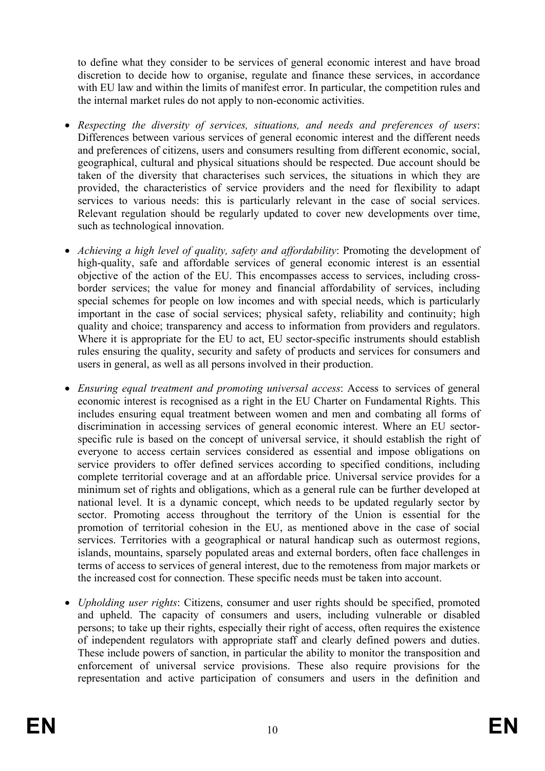to define what they consider to be services of general economic interest and have broad discretion to decide how to organise, regulate and finance these services, in accordance with EU law and within the limits of manifest error. In particular, the competition rules and the internal market rules do not apply to non-economic activities.

- *Respecting the diversity of services, situations, and needs and preferences of users*: Differences between various services of general economic interest and the different needs and preferences of citizens, users and consumers resulting from different economic, social, geographical, cultural and physical situations should be respected. Due account should be taken of the diversity that characterises such services, the situations in which they are provided, the characteristics of service providers and the need for flexibility to adapt services to various needs: this is particularly relevant in the case of social services. Relevant regulation should be regularly updated to cover new developments over time, such as technological innovation.
- *Achieving a high level of quality, safety and affordability*: Promoting the development of high-quality, safe and affordable services of general economic interest is an essential objective of the action of the EU. This encompasses access to services, including crossborder services; the value for money and financial affordability of services, including special schemes for people on low incomes and with special needs, which is particularly important in the case of social services; physical safety, reliability and continuity; high quality and choice; transparency and access to information from providers and regulators. Where it is appropriate for the EU to act, EU sector-specific instruments should establish rules ensuring the quality, security and safety of products and services for consumers and users in general, as well as all persons involved in their production.
- *Ensuring equal treatment and promoting universal access*: Access to services of general economic interest is recognised as a right in the EU Charter on Fundamental Rights. This includes ensuring equal treatment between women and men and combating all forms of discrimination in accessing services of general economic interest. Where an EU sectorspecific rule is based on the concept of universal service, it should establish the right of everyone to access certain services considered as essential and impose obligations on service providers to offer defined services according to specified conditions, including complete territorial coverage and at an affordable price. Universal service provides for a minimum set of rights and obligations, which as a general rule can be further developed at national level. It is a dynamic concept, which needs to be updated regularly sector by sector. Promoting access throughout the territory of the Union is essential for the promotion of territorial cohesion in the EU, as mentioned above in the case of social services. Territories with a geographical or natural handicap such as outermost regions, islands, mountains, sparsely populated areas and external borders, often face challenges in terms of access to services of general interest, due to the remoteness from major markets or the increased cost for connection. These specific needs must be taken into account.
- *Upholding user rights*: Citizens, consumer and user rights should be specified, promoted and upheld. The capacity of consumers and users, including vulnerable or disabled persons; to take up their rights, especially their right of access, often requires the existence of independent regulators with appropriate staff and clearly defined powers and duties. These include powers of sanction, in particular the ability to monitor the transposition and enforcement of universal service provisions. These also require provisions for the representation and active participation of consumers and users in the definition and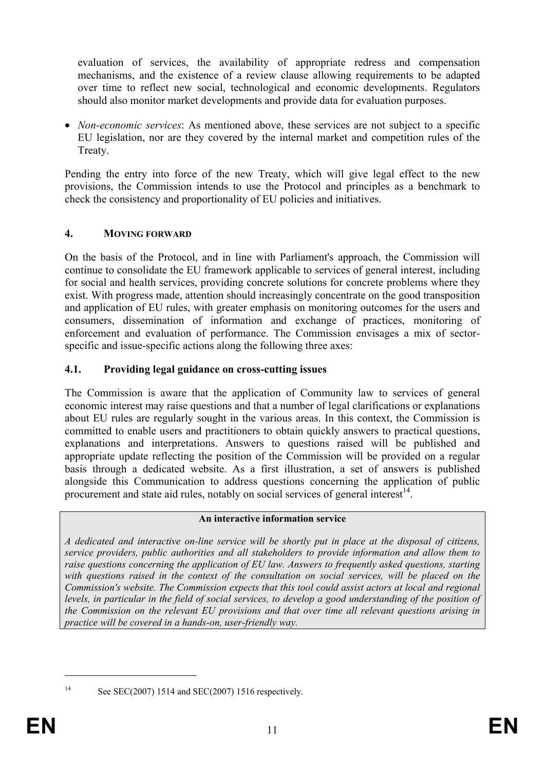evaluation of services, the availability of appropriate redress and compensation mechanisms, and the existence of a review clause allowing requirements to be adapted over time to reflect new social, technological and economic developments. Regulators should also monitor market developments and provide data for evaluation purposes.

• *Non-economic services*: As mentioned above, these services are not subject to a specific EU legislation, nor are they covered by the internal market and competition rules of the Treaty.

Pending the entry into force of the new Treaty, which will give legal effect to the new provisions, the Commission intends to use the Protocol and principles as a benchmark to check the consistency and proportionality of EU policies and initiatives.

### **4. MOVING FORWARD**

On the basis of the Protocol, and in line with Parliament's approach, the Commission will continue to consolidate the EU framework applicable to services of general interest, including for social and health services, providing concrete solutions for concrete problems where they exist. With progress made, attention should increasingly concentrate on the good transposition and application of EU rules, with greater emphasis on monitoring outcomes for the users and consumers, dissemination of information and exchange of practices, monitoring of enforcement and evaluation of performance. The Commission envisages a mix of sectorspecific and issue-specific actions along the following three axes:

# **4.1. Providing legal guidance on cross-cutting issues**

The Commission is aware that the application of Community law to services of general economic interest may raise questions and that a number of legal clarifications or explanations about EU rules are regularly sought in the various areas. In this context, the Commission is committed to enable users and practitioners to obtain quickly answers to practical questions, explanations and interpretations. Answers to questions raised will be published and appropriate update reflecting the position of the Commission will be provided on a regular basis through a dedicated website. As a first illustration, a set of answers is published alongside this Communication to address questions concerning the application of public procurement and state aid rules, notably on social services of general interest $14$ .

### **An interactive information service**

*A dedicated and interactive on-line service will be shortly put in place at the disposal of citizens, service providers, public authorities and all stakeholders to provide information and allow them to raise questions concerning the application of EU law. Answers to frequently asked questions, starting*  with questions raised in the context of the consultation on social services, will be placed on the *Commission's website. The Commission expects that this tool could assist actors at local and regional levels, in particular in the field of social services, to develop a good understanding of the position of the Commission on the relevant EU provisions and that over time all relevant questions arising in practice will be covered in a hands-on, user-friendly way.* 

<sup>1</sup> 

<sup>&</sup>lt;sup>14</sup> See SEC(2007) 1514 and SEC(2007) 1516 respectively.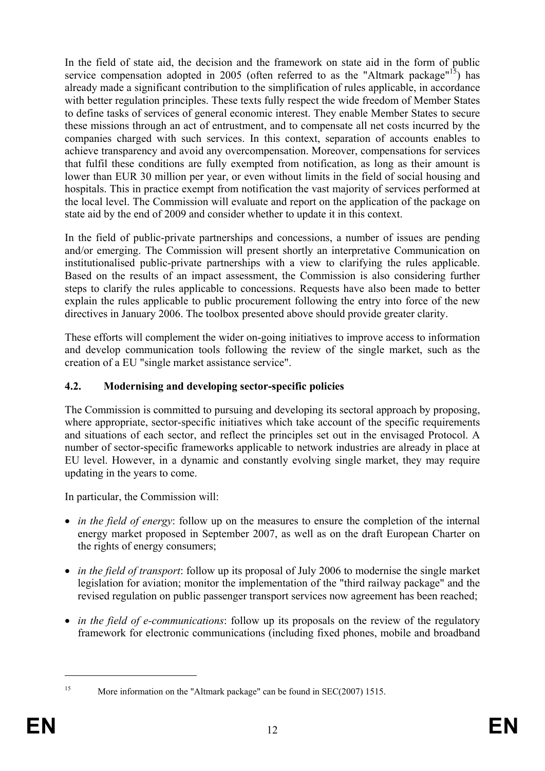In the field of state aid, the decision and the framework on state aid in the form of public service compensation adopted in 2005 (often referred to as the "Altmark package"<sup>15</sup>) has already made a significant contribution to the simplification of rules applicable, in accordance with better regulation principles. These texts fully respect the wide freedom of Member States to define tasks of services of general economic interest. They enable Member States to secure these missions through an act of entrustment, and to compensate all net costs incurred by the companies charged with such services. In this context, separation of accounts enables to achieve transparency and avoid any overcompensation. Moreover, compensations for services that fulfil these conditions are fully exempted from notification, as long as their amount is lower than EUR 30 million per year, or even without limits in the field of social housing and hospitals. This in practice exempt from notification the vast majority of services performed at the local level. The Commission will evaluate and report on the application of the package on state aid by the end of 2009 and consider whether to update it in this context.

In the field of public-private partnerships and concessions, a number of issues are pending and/or emerging. The Commission will present shortly an interpretative Communication on institutionalised public-private partnerships with a view to clarifying the rules applicable. Based on the results of an impact assessment, the Commission is also considering further steps to clarify the rules applicable to concessions. Requests have also been made to better explain the rules applicable to public procurement following the entry into force of the new directives in January 2006. The toolbox presented above should provide greater clarity.

These efforts will complement the wider on-going initiatives to improve access to information and develop communication tools following the review of the single market, such as the creation of a EU "single market assistance service".

# **4.2. Modernising and developing sector-specific policies**

The Commission is committed to pursuing and developing its sectoral approach by proposing, where appropriate, sector-specific initiatives which take account of the specific requirements and situations of each sector, and reflect the principles set out in the envisaged Protocol. A number of sector-specific frameworks applicable to network industries are already in place at EU level. However, in a dynamic and constantly evolving single market, they may require updating in the years to come.

In particular, the Commission will:

- *in the field of energy*: follow up on the measures to ensure the completion of the internal energy market proposed in September 2007, as well as on the draft European Charter on the rights of energy consumers;
- *in the field of transport*: follow up its proposal of July 2006 to modernise the single market legislation for aviation; monitor the implementation of the "third railway package" and the revised regulation on public passenger transport services now agreement has been reached;
- *in the field of e-communications*: follow up its proposals on the review of the regulatory framework for electronic communications (including fixed phones, mobile and broadband

<sup>1</sup> 

<sup>&</sup>lt;sup>15</sup> More information on the "Altmark package" can be found in SEC(2007) 1515.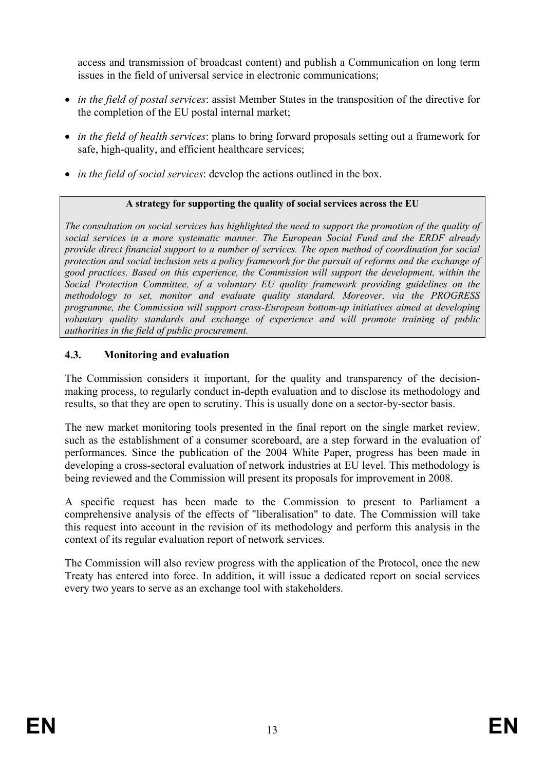access and transmission of broadcast content) and publish a Communication on long term issues in the field of universal service in electronic communications;

- *in the field of postal services*: assist Member States in the transposition of the directive for the completion of the EU postal internal market;
- *in the field of health services*: plans to bring forward proposals setting out a framework for safe, high-quality, and efficient healthcare services;
- *in the field of social services*: develop the actions outlined in the box.

### **A strategy for supporting the quality of social services across the EU**

*The consultation on social services has highlighted the need to support the promotion of the quality of social services in a more systematic manner. The European Social Fund and the ERDF already provide direct financial support to a number of services. The open method of coordination for social protection and social inclusion sets a policy framework for the pursuit of reforms and the exchange of good practices. Based on this experience, the Commission will support the development, within the Social Protection Committee, of a voluntary EU quality framework providing guidelines on the methodology to set, monitor and evaluate quality standard. Moreover, via the PROGRESS programme, the Commission will support cross-European bottom-up initiatives aimed at developing voluntary quality standards and exchange of experience and will promote training of public authorities in the field of public procurement.*

### **4.3. Monitoring and evaluation**

The Commission considers it important, for the quality and transparency of the decisionmaking process, to regularly conduct in-depth evaluation and to disclose its methodology and results, so that they are open to scrutiny. This is usually done on a sector-by-sector basis.

The new market monitoring tools presented in the final report on the single market review, such as the establishment of a consumer scoreboard, are a step forward in the evaluation of performances. Since the publication of the 2004 White Paper, progress has been made in developing a cross-sectoral evaluation of network industries at EU level. This methodology is being reviewed and the Commission will present its proposals for improvement in 2008.

A specific request has been made to the Commission to present to Parliament a comprehensive analysis of the effects of "liberalisation" to date. The Commission will take this request into account in the revision of its methodology and perform this analysis in the context of its regular evaluation report of network services.

The Commission will also review progress with the application of the Protocol, once the new Treaty has entered into force. In addition, it will issue a dedicated report on social services every two years to serve as an exchange tool with stakeholders.